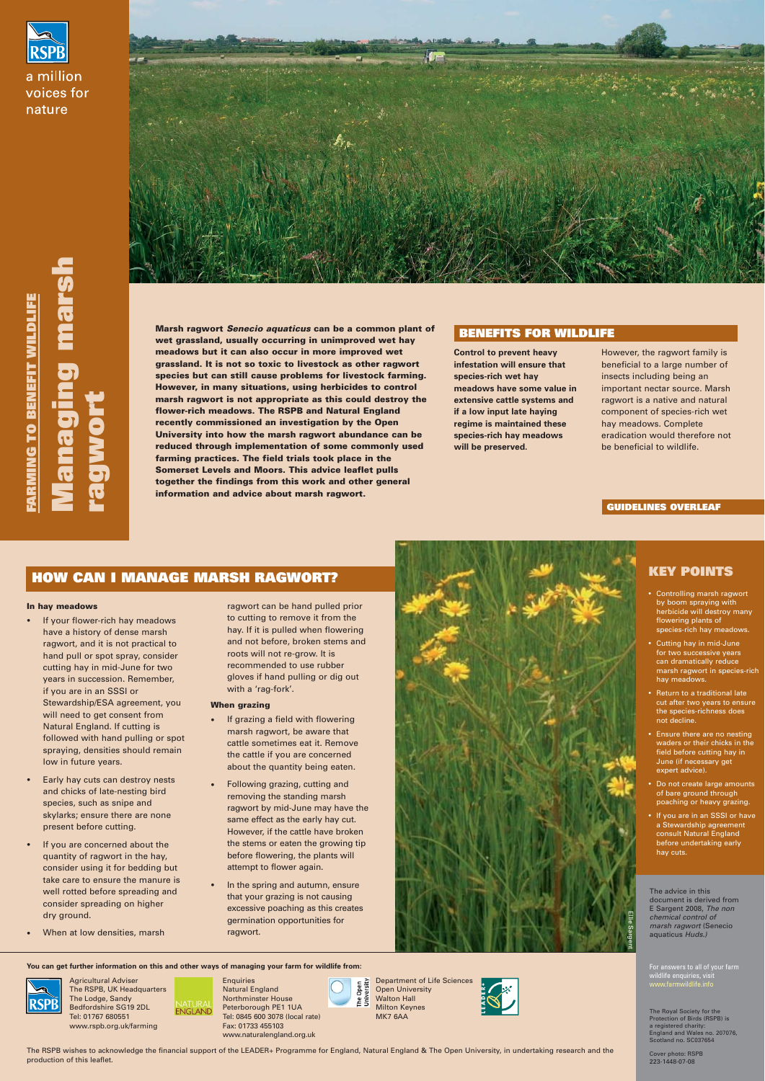

a million voices for nature



**Marsh ragwort Senecio aquaticus can be a common plant of wet grassland, usually occurring in unimproved wet hay meadows but it can also occur in more improved wet grassland. It is not so toxic to livestock as other ragwort species but can still cause problems for livestock farming. However, in many situations, using herbicides to control marsh ragwort is not appropriate as this could destroy the flower-rich meadows. The RSPB and Natural England recently commissioned an investigation by the Open University into how the marsh ragwort abundance can be reduced through implementation of some commonly used farming practices. The field trials took place in the Somerset Levels and Moors. This advice leaflet pulls together the findings from this work and other general information and advice about marsh ragwort.** 

### **BENEFITS FOR WILDLIFE**

**Managing marsh**

mars

**ragwort**

## **GUIDELINES OVERLEAF**

**Control to prevent heavy infestation will ensure that species-rich wet hay meadows have some value in extensive cattle systems and if a low input late haying regime is maintained these species-rich hay meadows will be preserved.**

However, the ragwort family is beneficial to a large number of insects including being an important nectar source. Marsh ragwort is a native and natural component of species-rich wet hay meadows. Complete eradication would therefore not be beneficial to wildlife.

# **KEY POINTS**

- If your flower-rich hay meadows have a history of dense marsh ragwort, and it is not practical to hand pull or spot spray, consider cutting hay in mid-June for two years in succession. Remember, if you are in an SSSI or Stewardship/ESA agreement, you will need to get consent from Natural England. If cutting is followed with hand pulling or spot spraying, densities should remain low in future years.
- Early hay cuts can destroy nests and chicks of late-nesting bird species, such as snipe and skylarks; ensure there are none
- Controlling marsh ragwort by boom spraying with herbicide will destroy many flowering plants of species-rich hay meadows.
- Cutting hay in mid-June for two successive years can dramatically reduce marsh ragwort in species-rich hay meadows.
- Return to a traditional late cut after two years to ensure the species-richness does not decline.
- Ensure there are no nesting waders or their chicks in the field before cutting hay in June (if necessary get expert advice).
- Do not create large amounts of bare ground through poaching or heavy grazing.
- If grazing a field with flowering marsh ragwort, be aware that cattle sometimes eat it. Remove the cattle if you are concerned about the quantity being eaten.
- Following grazing, cutting and removing the standing marsh ragwort by mid-June may have the



• If you are in an SSSI or have a Stewardship agreement consult Natural England before undertaking early hay cuts.

**You can get further information on this and other ways of managing your farm for wildlife from:**

**ENGLAND** 



**Enquiries** Natural England Northminster House Peterborough PE1 1UA Tel: 0845 600 3078 (local rate) Fax: 01733 455103 www.naturalengland.org.uk

Department of Life Sciences Open<br>rersity Open University ξš

> The Royal Society for the Protection of Birds (RSPB) is a registered charity: England and Wales no. 207076, Scotland no. SC037654

Cover photo: RSPB 223-1448-07-08

For answers to all of your farm wildlife enquiries, visit www.farmwildlife.info

#### **In hay meadows**

present before cutting.

- If you are concerned about the quantity of ragwort in the hay, consider using it for bedding but take care to ensure the manure is well rotted before spreading and consider spreading on higher dry ground.
- When at low densities, marsh

ragwort can be hand pulled prior to cutting to remove it from the hay. If it is pulled when flowering and not before, broken stems and roots will not re-grow. It is recommended to use rubber gloves if hand pulling or dig out with a 'rag-fork'.

#### **When grazing**

same effect as the early hay cut. However, if the cattle have broken the stems or eaten the growing tip before flowering, the plants will attempt to flower again.

• In the spring and autumn, ensure that your grazing is not causing excessive poaching as this creates germination opportunities for ragwort.

Agricultural Adviser

The RSPB, UK Headquarters The Lodge, Sandy Bedfordshire SG19 2DL Tel: 01767 680551 www.rspb.org.uk/farming

Walton Hall Milton Keynes

MK7 6AA



# **HOW CAN I MANAGE MARSH RAGWORT?**

The RSPB wishes to acknowledge the financial support of the LEADER+ Programme for England, Natural England & The Open University, in undertaking research and the production of this leaflet.

Ellie Sargent

The advice in this document is derived from E Sargent 2008, The non chemical control of marsh ragwort (Senecio aquaticus Huds.)